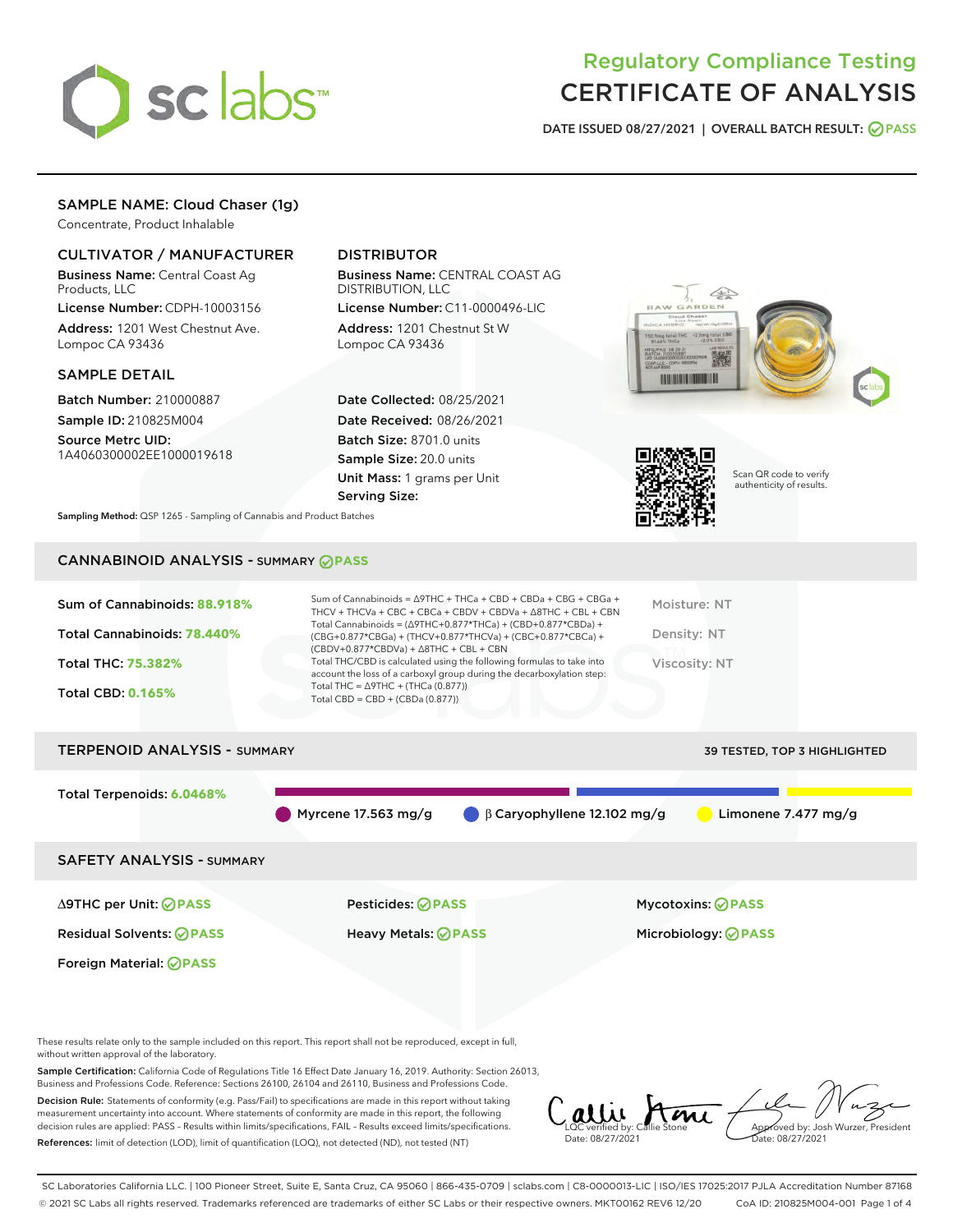

# Regulatory Compliance Testing CERTIFICATE OF ANALYSIS

DATE ISSUED 08/27/2021 | OVERALL BATCH RESULT: @ PASS

## SAMPLE NAME: Cloud Chaser (1g)

Concentrate, Product Inhalable

## CULTIVATOR / MANUFACTURER

Business Name: Central Coast Ag Products, LLC

License Number: CDPH-10003156 Address: 1201 West Chestnut Ave. Lompoc CA 93436

### SAMPLE DETAIL

Batch Number: 210000887 Sample ID: 210825M004 Source Metrc UID:

1A4060300002EE1000019618

## DISTRIBUTOR

Business Name: CENTRAL COAST AG DISTRIBUTION, LLC License Number: C11-0000496-LIC

Address: 1201 Chestnut St W Lompoc CA 93436

Date Collected: 08/25/2021 Date Received: 08/26/2021 Batch Size: 8701.0 units Sample Size: 20.0 units Unit Mass: 1 grams per Unit Serving Size:





Scan QR code to verify authenticity of results.

Sampling Method: QSP 1265 - Sampling of Cannabis and Product Batches

## CANNABINOID ANALYSIS - SUMMARY **PASS**

| Sum of Cannabinoids: 88.918%        | Sum of Cannabinoids = ∆9THC + THCa + CBD + CBDa + CBG + CBGa +<br>THCV + THCVa + CBC + CBCa + CBDV + CBDVa + $\land$ 8THC + CBL + CBN                                                | Moisture: NT                        |
|-------------------------------------|--------------------------------------------------------------------------------------------------------------------------------------------------------------------------------------|-------------------------------------|
| Total Cannabinoids: 78.440%         | Total Cannabinoids = $(\Delta$ 9THC+0.877*THCa) + (CBD+0.877*CBDa) +<br>(CBG+0.877*CBGa) + (THCV+0.877*THCVa) + (CBC+0.877*CBCa) +<br>$(CBDV+0.877*CBDVa) + \Delta 8THC + CBL + CBN$ | Density: NT                         |
| <b>Total THC: 75.382%</b>           | Total THC/CBD is calculated using the following formulas to take into<br>account the loss of a carboxyl group during the decarboxylation step:                                       | <b>Viscosity: NT</b>                |
| <b>Total CBD: 0.165%</b>            | Total THC = $\triangle$ 9THC + (THCa (0.877))<br>Total CBD = $CBD + (CBDa (0.877))$                                                                                                  |                                     |
| <b>TERPENOID ANALYSIS - SUMMARY</b> |                                                                                                                                                                                      | <b>39 TESTED, TOP 3 HIGHLIGHTED</b> |

Total Terpenoids: **6.0468%** Myrcene 17.563 mg/g  $\qquad \beta$  Caryophyllene 12.102 mg/g Limonene 7.477 mg/g SAFETY ANALYSIS - SUMMARY

Foreign Material: **PASS**

∆9THC per Unit: **PASS** Pesticides: **PASS** Mycotoxins: **PASS**

Residual Solvents: **PASS** Heavy Metals: **PASS** Microbiology: **PASS**

These results relate only to the sample included on this report. This report shall not be reproduced, except in full, without written approval of the laboratory.

Sample Certification: California Code of Regulations Title 16 Effect Date January 16, 2019. Authority: Section 26013, Business and Professions Code. Reference: Sections 26100, 26104 and 26110, Business and Professions Code.

Decision Rule: Statements of conformity (e.g. Pass/Fail) to specifications are made in this report without taking measurement uncertainty into account. Where statements of conformity are made in this report, the following decision rules are applied: PASS – Results within limits/specifications, FAIL – Results exceed limits/specifications. References: limit of detection (LOD), limit of quantification (LOQ), not detected (ND), not tested (NT)

LQC verified by: Callie Stone Date: 08/27/2021 Aved by: Josh Wurzer, President te: 08/27/2021

SC Laboratories California LLC. | 100 Pioneer Street, Suite E, Santa Cruz, CA 95060 | 866-435-0709 | sclabs.com | C8-0000013-LIC | ISO/IES 17025:2017 PJLA Accreditation Number 87168 © 2021 SC Labs all rights reserved. Trademarks referenced are trademarks of either SC Labs or their respective owners. MKT00162 REV6 12/20 CoA ID: 210825M004-001 Page 1 of 4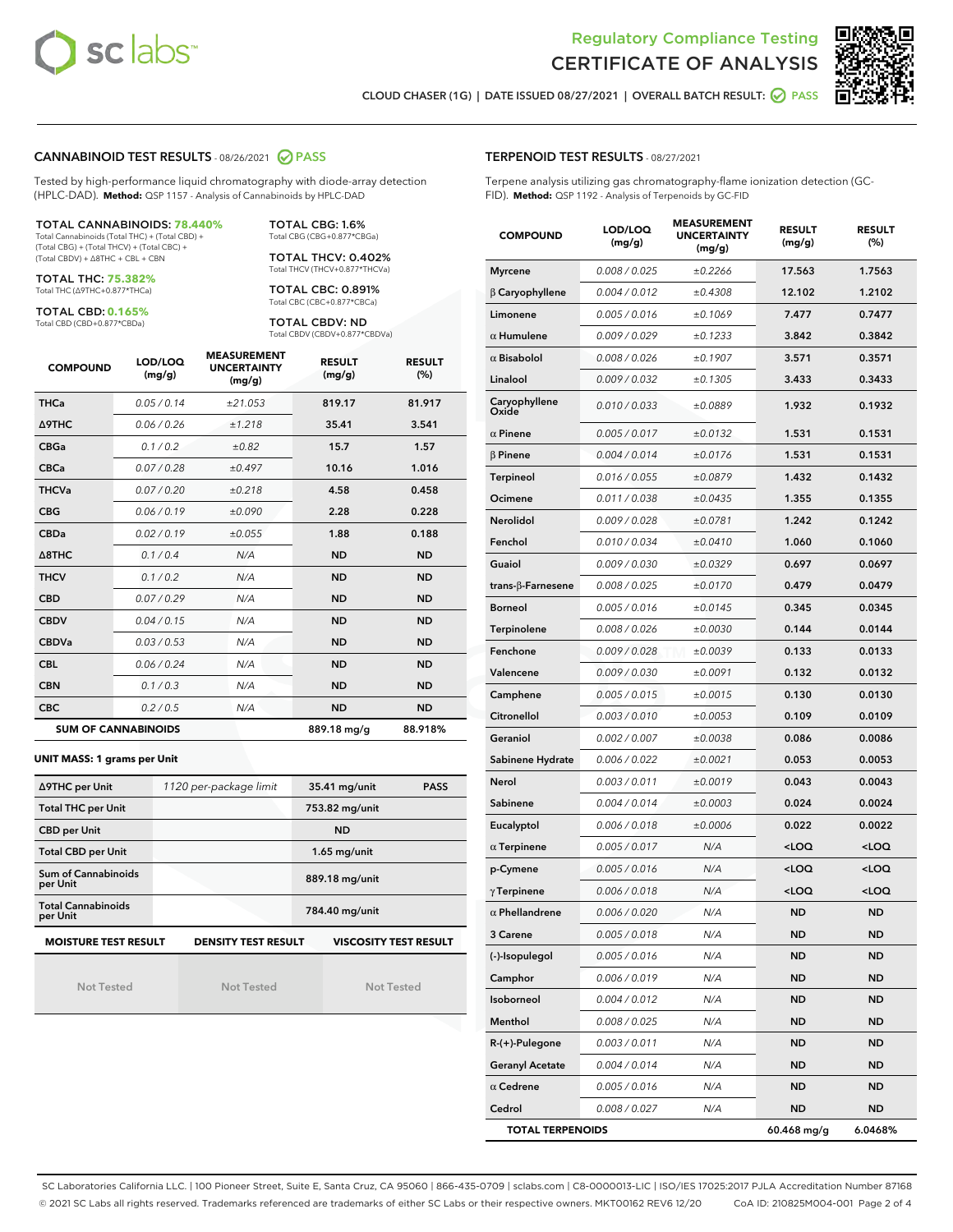



CLOUD CHASER (1G) | DATE ISSUED 08/27/2021 | OVERALL BATCH RESULT: ○ PASS

#### CANNABINOID TEST RESULTS - 08/26/2021 2 PASS

Tested by high-performance liquid chromatography with diode-array detection (HPLC-DAD). **Method:** QSP 1157 - Analysis of Cannabinoids by HPLC-DAD

#### TOTAL CANNABINOIDS: **78.440%**

Total Cannabinoids (Total THC) + (Total CBD) + (Total CBG) + (Total THCV) + (Total CBC) + (Total CBDV) + ∆8THC + CBL + CBN

TOTAL THC: **75.382%** Total THC (∆9THC+0.877\*THCa)

TOTAL CBD: **0.165%**

Total CBD (CBD+0.877\*CBDa)

TOTAL CBG: 1.6% Total CBG (CBG+0.877\*CBGa)

TOTAL THCV: 0.402% Total THCV (THCV+0.877\*THCVa)

TOTAL CBC: 0.891% Total CBC (CBC+0.877\*CBCa)

TOTAL CBDV: ND Total CBDV (CBDV+0.877\*CBDVa)

| <b>COMPOUND</b>  | LOD/LOQ<br>(mg/g)          | <b>MEASUREMENT</b><br><b>UNCERTAINTY</b><br>(mg/g) | <b>RESULT</b><br>(mg/g) | <b>RESULT</b><br>(%) |
|------------------|----------------------------|----------------------------------------------------|-------------------------|----------------------|
| <b>THCa</b>      | 0.05 / 0.14                | ±21.053                                            | 819.17                  | 81.917               |
| Δ9THC            | 0.06 / 0.26                | ±1.218                                             | 35.41                   | 3.541                |
| <b>CBGa</b>      | 0.1/0.2                    | ±0.82                                              | 15.7                    | 1.57                 |
| <b>CBCa</b>      | 0.07 / 0.28                | ±0.497                                             | 10.16                   | 1.016                |
| <b>THCVa</b>     | 0.07/0.20                  | ±0.218                                             | 4.58                    | 0.458                |
| <b>CBG</b>       | 0.06/0.19                  | ±0.090                                             | 2.28                    | 0.228                |
| <b>CBDa</b>      | 0.02/0.19                  | ±0.055                                             | 1.88                    | 0.188                |
| $\triangle$ 8THC | 0.1/0.4                    | N/A                                                | <b>ND</b>               | <b>ND</b>            |
| <b>THCV</b>      | 0.1/0.2                    | N/A                                                | <b>ND</b>               | <b>ND</b>            |
| <b>CBD</b>       | 0.07/0.29                  | N/A                                                | <b>ND</b>               | <b>ND</b>            |
| <b>CBDV</b>      | 0.04 / 0.15                | N/A                                                | <b>ND</b>               | <b>ND</b>            |
| <b>CBDVa</b>     | 0.03/0.53                  | N/A                                                | <b>ND</b>               | <b>ND</b>            |
| <b>CBL</b>       | 0.06 / 0.24                | N/A                                                | <b>ND</b>               | <b>ND</b>            |
| <b>CBN</b>       | 0.1/0.3                    | N/A                                                | <b>ND</b>               | <b>ND</b>            |
| <b>CBC</b>       | 0.2 / 0.5                  | N/A                                                | <b>ND</b>               | <b>ND</b>            |
|                  | <b>SUM OF CANNABINOIDS</b> |                                                    | 889.18 mg/g             | 88.918%              |

#### **UNIT MASS: 1 grams per Unit**

| ∆9THC per Unit                        | 1120 per-package limit     | 35.41 mg/unit<br><b>PASS</b> |
|---------------------------------------|----------------------------|------------------------------|
| <b>Total THC per Unit</b>             |                            | 753.82 mg/unit               |
| <b>CBD per Unit</b>                   |                            | <b>ND</b>                    |
| <b>Total CBD per Unit</b>             |                            | $1.65$ mg/unit               |
| Sum of Cannabinoids<br>per Unit       |                            | 889.18 mg/unit               |
| <b>Total Cannabinoids</b><br>per Unit |                            | 784.40 mg/unit               |
| <b>MOISTURE TEST RESULT</b>           | <b>DENSITY TEST RESULT</b> | <b>VISCOSITY TEST RESULT</b> |

Not Tested

Not Tested

Not Tested

TERPENOID TEST RESULTS - 08/27/2021

Terpene analysis utilizing gas chromatography-flame ionization detection (GC-FID). **Method:** QSP 1192 - Analysis of Terpenoids by GC-FID

| <b>COMPOUND</b>         | LOD/LOQ<br>(mg/g) | <b>MEASUREMENT</b><br><b>UNCERTAINTY</b><br>(mg/g) | <b>RESULT</b><br>(mg/g)                         | <b>RESULT</b><br>(%) |
|-------------------------|-------------------|----------------------------------------------------|-------------------------------------------------|----------------------|
| <b>Myrcene</b>          | 0.008 / 0.025     | ±0.2266                                            | 17.563                                          | 1.7563               |
| $\beta$ Caryophyllene   | 0.004 / 0.012     | ±0.4308                                            | 12.102                                          | 1.2102               |
| Limonene                | 0.005 / 0.016     | ±0.1069                                            | 7.477                                           | 0.7477               |
| $\alpha$ Humulene       | 0.009 / 0.029     | ±0.1233                                            | 3.842                                           | 0.3842               |
| $\alpha$ Bisabolol      | 0.008 / 0.026     | ±0.1907                                            | 3.571                                           | 0.3571               |
| Linalool                | 0.009 / 0.032     | ±0.1305                                            | 3.433                                           | 0.3433               |
| Caryophyllene<br>Oxide  | 0.010 / 0.033     | ±0.0889                                            | 1.932                                           | 0.1932               |
| $\alpha$ Pinene         | 0.005 / 0.017     | ±0.0132                                            | 1.531                                           | 0.1531               |
| $\beta$ Pinene          | 0.004 / 0.014     | ±0.0176                                            | 1.531                                           | 0.1531               |
| Terpineol               | 0.016 / 0.055     | ±0.0879                                            | 1.432                                           | 0.1432               |
| Ocimene                 | 0.011 / 0.038     | ±0.0435                                            | 1.355                                           | 0.1355               |
| Nerolidol               | 0.009 / 0.028     | ±0.0781                                            | 1.242                                           | 0.1242               |
| Fenchol                 | 0.010 / 0.034     | ±0.0410                                            | 1.060                                           | 0.1060               |
| Guaiol                  | 0.009 / 0.030     | ±0.0329                                            | 0.697                                           | 0.0697               |
| trans-β-Farnesene       | 0.008 / 0.025     | ±0.0170                                            | 0.479                                           | 0.0479               |
| <b>Borneol</b>          | 0.005 / 0.016     | ±0.0145                                            | 0.345                                           | 0.0345               |
| Terpinolene             | 0.008 / 0.026     | ±0.0030                                            | 0.144                                           | 0.0144               |
| Fenchone                | 0.009 / 0.028     | ±0.0039                                            | 0.133                                           | 0.0133               |
| Valencene               | 0.009 / 0.030     | ±0.0091                                            | 0.132                                           | 0.0132               |
| Camphene                | 0.005 / 0.015     | ±0.0015                                            | 0.130                                           | 0.0130               |
| Citronellol             | 0.003 / 0.010     | ±0.0053                                            | 0.109                                           | 0.0109               |
| Geraniol                | 0.002 / 0.007     | ±0.0038                                            | 0.086                                           | 0.0086               |
| Sabinene Hydrate        | 0.006 / 0.022     | ±0.0021                                            | 0.053                                           | 0.0053               |
| Nerol                   | 0.003 / 0.011     | ±0.0019                                            | 0.043                                           | 0.0043               |
| Sabinene                | 0.004 / 0.014     | ±0.0003                                            | 0.024                                           | 0.0024               |
| Eucalyptol              | 0.006 / 0.018     | ±0.0006                                            | 0.022                                           | 0.0022               |
| $\alpha$ Terpinene      | 0.005 / 0.017     | N/A                                                | $<$ LOQ                                         | $<$ LOQ              |
| p-Cymene                | 0.005 / 0.016     | N/A                                                | <loq< th=""><th><loq< th=""></loq<></th></loq<> | <loq< th=""></loq<>  |
| $\gamma$ Terpinene      | 0.006 / 0.018     | N/A                                                | <loq< th=""><th><loq< th=""></loq<></th></loq<> | <loq< th=""></loq<>  |
| $\alpha$ Phellandrene   | 0.006 / 0.020     | N/A                                                | ND                                              | ND                   |
| 3 Carene                | 0.005 / 0.018     | N/A                                                | ND                                              | ND                   |
| (-)-Isopulegol          | 0.005 / 0.016     | N/A                                                | <b>ND</b>                                       | ND                   |
| Camphor                 | 0.006 / 0.019     | N/A                                                | ND                                              | <b>ND</b>            |
| Isoborneol              | 0.004 / 0.012     | N/A                                                | ND                                              | ND                   |
| Menthol                 | 0.008 / 0.025     | N/A                                                | ND                                              | ND                   |
| R-(+)-Pulegone          | 0.003 / 0.011     | N/A                                                | ND                                              | <b>ND</b>            |
| <b>Geranyl Acetate</b>  | 0.004 / 0.014     | N/A                                                | ND                                              | ND                   |
| $\alpha$ Cedrene        | 0.005 / 0.016     | N/A                                                | ND                                              | ND                   |
| Cedrol                  | 0.008 / 0.027     | N/A                                                | <b>ND</b>                                       | ND                   |
| <b>TOTAL TERPENOIDS</b> |                   |                                                    | 60.468 mg/g                                     | 6.0468%              |

SC Laboratories California LLC. | 100 Pioneer Street, Suite E, Santa Cruz, CA 95060 | 866-435-0709 | sclabs.com | C8-0000013-LIC | ISO/IES 17025:2017 PJLA Accreditation Number 87168 © 2021 SC Labs all rights reserved. Trademarks referenced are trademarks of either SC Labs or their respective owners. MKT00162 REV6 12/20 CoA ID: 210825M004-001 Page 2 of 4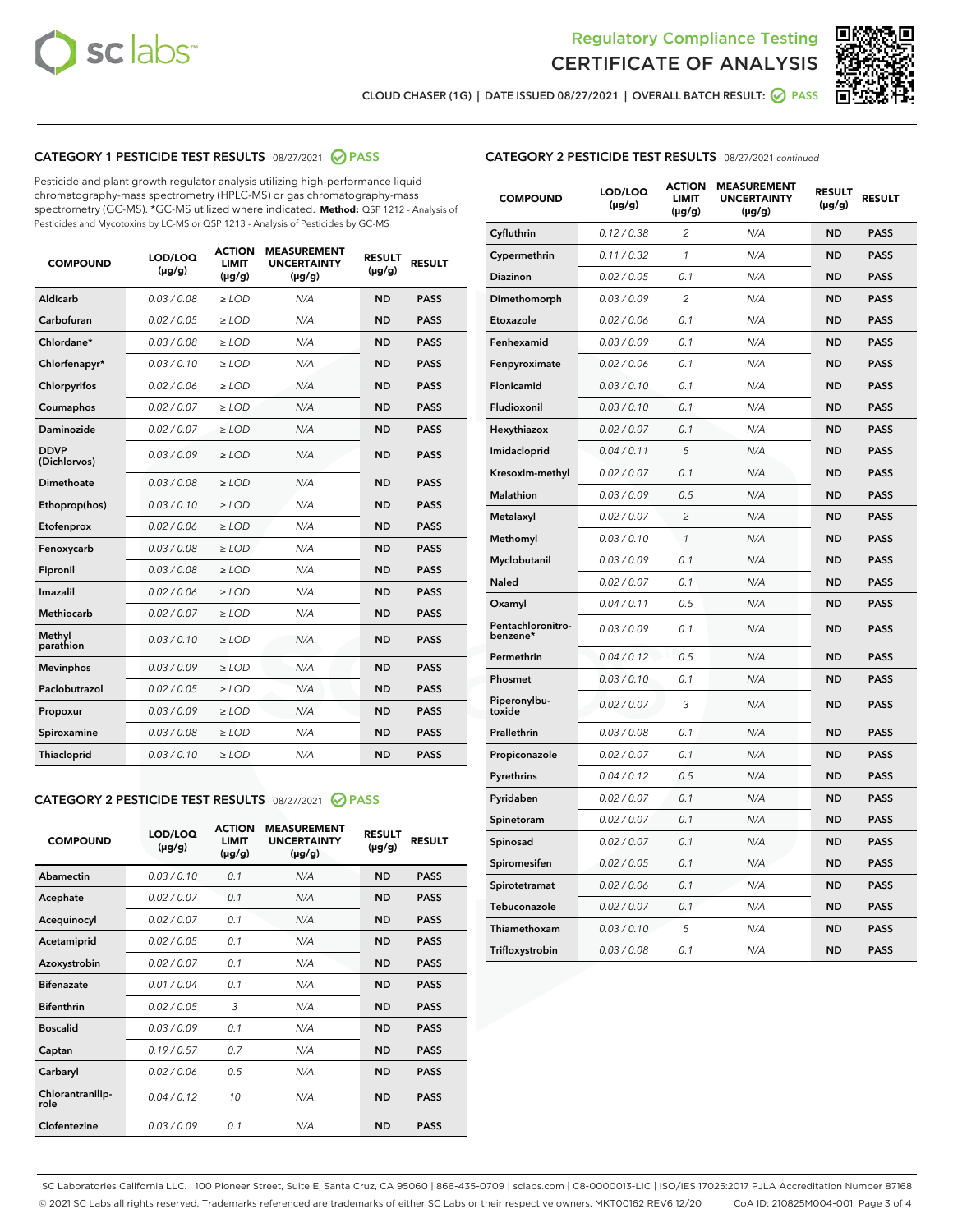



CLOUD CHASER (1G) | DATE ISSUED 08/27/2021 | OVERALL BATCH RESULT: <mark>⊙</mark> PASS

## CATEGORY 1 PESTICIDE TEST RESULTS - 08/27/2021 2 PASS

Pesticide and plant growth regulator analysis utilizing high-performance liquid chromatography-mass spectrometry (HPLC-MS) or gas chromatography-mass spectrometry (GC-MS). \*GC-MS utilized where indicated. **Method:** QSP 1212 - Analysis of Pesticides and Mycotoxins by LC-MS or QSP 1213 - Analysis of Pesticides by GC-MS

| <b>COMPOUND</b>             | LOD/LOQ<br>$(\mu g/g)$ | <b>ACTION</b><br><b>LIMIT</b><br>$(\mu g/g)$ | <b>MEASUREMENT</b><br><b>UNCERTAINTY</b><br>$(\mu g/g)$ | <b>RESULT</b><br>$(\mu g/g)$ | <b>RESULT</b> |
|-----------------------------|------------------------|----------------------------------------------|---------------------------------------------------------|------------------------------|---------------|
| Aldicarb                    | 0.03 / 0.08            | $\ge$ LOD                                    | N/A                                                     | <b>ND</b>                    | <b>PASS</b>   |
| Carbofuran                  | 0.02 / 0.05            | $\ge$ LOD                                    | N/A                                                     | <b>ND</b>                    | <b>PASS</b>   |
| Chlordane*                  | 0.03 / 0.08            | $\ge$ LOD                                    | N/A                                                     | <b>ND</b>                    | <b>PASS</b>   |
| Chlorfenapyr*               | 0.03/0.10              | $\ge$ LOD                                    | N/A                                                     | <b>ND</b>                    | <b>PASS</b>   |
| Chlorpyrifos                | 0.02 / 0.06            | $\ge$ LOD                                    | N/A                                                     | <b>ND</b>                    | <b>PASS</b>   |
| Coumaphos                   | 0.02 / 0.07            | $\ge$ LOD                                    | N/A                                                     | <b>ND</b>                    | <b>PASS</b>   |
| Daminozide                  | 0.02 / 0.07            | $\ge$ LOD                                    | N/A                                                     | <b>ND</b>                    | <b>PASS</b>   |
| <b>DDVP</b><br>(Dichlorvos) | 0.03/0.09              | $>$ LOD                                      | N/A                                                     | <b>ND</b>                    | <b>PASS</b>   |
| Dimethoate                  | 0.03/0.08              | $\ge$ LOD                                    | N/A                                                     | <b>ND</b>                    | <b>PASS</b>   |
| Ethoprop(hos)               | 0.03 / 0.10            | $>$ LOD                                      | N/A                                                     | <b>ND</b>                    | <b>PASS</b>   |
| Etofenprox                  | 0.02 / 0.06            | $\ge$ LOD                                    | N/A                                                     | <b>ND</b>                    | <b>PASS</b>   |
| Fenoxycarb                  | 0.03/0.08              | $\ge$ LOD                                    | N/A                                                     | <b>ND</b>                    | <b>PASS</b>   |
| Fipronil                    | 0.03/0.08              | $\ge$ LOD                                    | N/A                                                     | <b>ND</b>                    | <b>PASS</b>   |
| Imazalil                    | 0.02 / 0.06            | $>$ LOD                                      | N/A                                                     | <b>ND</b>                    | <b>PASS</b>   |
| <b>Methiocarb</b>           | 0.02 / 0.07            | $\ge$ LOD                                    | N/A                                                     | <b>ND</b>                    | <b>PASS</b>   |
| Methyl<br>parathion         | 0.03/0.10              | $\ge$ LOD                                    | N/A                                                     | <b>ND</b>                    | <b>PASS</b>   |
| <b>Mevinphos</b>            | 0.03/0.09              | $\ge$ LOD                                    | N/A                                                     | <b>ND</b>                    | <b>PASS</b>   |
| Paclobutrazol               | 0.02 / 0.05            | $>$ LOD                                      | N/A                                                     | <b>ND</b>                    | <b>PASS</b>   |
| Propoxur                    | 0.03/0.09              | $\ge$ LOD                                    | N/A                                                     | <b>ND</b>                    | <b>PASS</b>   |
| Spiroxamine                 | 0.03 / 0.08            | $\ge$ LOD                                    | N/A                                                     | <b>ND</b>                    | <b>PASS</b>   |
| Thiacloprid                 | 0.03/0.10              | $\ge$ LOD                                    | N/A                                                     | <b>ND</b>                    | <b>PASS</b>   |

### CATEGORY 2 PESTICIDE TEST RESULTS - 08/27/2021 @ PASS

| <b>COMPOUND</b>          | LOD/LOO<br>$(\mu g/g)$ | <b>ACTION</b><br>LIMIT<br>$(\mu g/g)$ | <b>MEASUREMENT</b><br><b>UNCERTAINTY</b><br>$(\mu g/g)$ | <b>RESULT</b><br>$(\mu g/g)$ | <b>RESULT</b> |
|--------------------------|------------------------|---------------------------------------|---------------------------------------------------------|------------------------------|---------------|
| Abamectin                | 0.03/0.10              | 0.1                                   | N/A                                                     | <b>ND</b>                    | <b>PASS</b>   |
| Acephate                 | 0.02/0.07              | 0.1                                   | N/A                                                     | <b>ND</b>                    | <b>PASS</b>   |
| Acequinocyl              | 0.02/0.07              | 0.1                                   | N/A                                                     | <b>ND</b>                    | <b>PASS</b>   |
| Acetamiprid              | 0.02/0.05              | 0.1                                   | N/A                                                     | <b>ND</b>                    | <b>PASS</b>   |
| Azoxystrobin             | 0.02/0.07              | 0.1                                   | N/A                                                     | <b>ND</b>                    | <b>PASS</b>   |
| <b>Bifenazate</b>        | 0.01/0.04              | 0.1                                   | N/A                                                     | <b>ND</b>                    | <b>PASS</b>   |
| <b>Bifenthrin</b>        | 0.02 / 0.05            | 3                                     | N/A                                                     | <b>ND</b>                    | <b>PASS</b>   |
| <b>Boscalid</b>          | 0.03/0.09              | 0.1                                   | N/A                                                     | <b>ND</b>                    | <b>PASS</b>   |
| Captan                   | 0.19/0.57              | 0.7                                   | N/A                                                     | <b>ND</b>                    | <b>PASS</b>   |
| Carbaryl                 | 0.02/0.06              | 0.5                                   | N/A                                                     | <b>ND</b>                    | <b>PASS</b>   |
| Chlorantranilip-<br>role | 0.04/0.12              | 10                                    | N/A                                                     | <b>ND</b>                    | <b>PASS</b>   |
| Clofentezine             | 0.03/0.09              | 0.1                                   | N/A                                                     | <b>ND</b>                    | <b>PASS</b>   |

## CATEGORY 2 PESTICIDE TEST RESULTS - 08/27/2021 continued

| <b>COMPOUND</b>               | LOD/LOQ<br>(µg/g) | <b>ACTION</b><br>LIMIT<br>$(\mu g/g)$ | <b>MEASUREMENT</b><br><b>UNCERTAINTY</b><br>(µg/g) | <b>RESULT</b><br>(µg/g) | <b>RESULT</b> |
|-------------------------------|-------------------|---------------------------------------|----------------------------------------------------|-------------------------|---------------|
| Cyfluthrin                    | 0.12 / 0.38       | 2                                     | N/A                                                | ND                      | <b>PASS</b>   |
| Cypermethrin                  | 0.11 / 0.32       | 1                                     | N/A                                                | ND                      | PASS          |
| Diazinon                      | 0.02 / 0.05       | 0.1                                   | N/A                                                | ND                      | PASS          |
| Dimethomorph                  | 0.03 / 0.09       | 2                                     | N/A                                                | <b>ND</b>               | <b>PASS</b>   |
| Etoxazole                     | 0.02 / 0.06       | 0.1                                   | N/A                                                | ND                      | <b>PASS</b>   |
| Fenhexamid                    | 0.03 / 0.09       | 0.1                                   | N/A                                                | ND                      | <b>PASS</b>   |
| Fenpyroximate                 | 0.02 / 0.06       | 0.1                                   | N/A                                                | <b>ND</b>               | <b>PASS</b>   |
| Flonicamid                    | 0.03 / 0.10       | 0.1                                   | N/A                                                | <b>ND</b>               | <b>PASS</b>   |
| Fludioxonil                   | 0.03 / 0.10       | 0.1                                   | N/A                                                | <b>ND</b>               | <b>PASS</b>   |
| Hexythiazox                   | 0.02 / 0.07       | 0.1                                   | N/A                                                | <b>ND</b>               | PASS          |
| Imidacloprid                  | 0.04 / 0.11       | 5                                     | N/A                                                | <b>ND</b>               | <b>PASS</b>   |
| Kresoxim-methyl               | 0.02 / 0.07       | 0.1                                   | N/A                                                | ND                      | <b>PASS</b>   |
| Malathion                     | 0.03 / 0.09       | 0.5                                   | N/A                                                | <b>ND</b>               | <b>PASS</b>   |
| Metalaxyl                     | 0.02 / 0.07       | $\overline{c}$                        | N/A                                                | <b>ND</b>               | <b>PASS</b>   |
| Methomyl                      | 0.03 / 0.10       | 1                                     | N/A                                                | ND                      | <b>PASS</b>   |
| Myclobutanil                  | 0.03/0.09         | 0.1                                   | N/A                                                | <b>ND</b>               | <b>PASS</b>   |
| Naled                         | 0.02 / 0.07       | 0.1                                   | N/A                                                | ND                      | <b>PASS</b>   |
| Oxamyl                        | 0.04 / 0.11       | 0.5                                   | N/A                                                | ND                      | <b>PASS</b>   |
| Pentachloronitro-<br>benzene* | 0.03 / 0.09       | 0.1                                   | N/A                                                | ND                      | <b>PASS</b>   |
| Permethrin                    | 0.04/0.12         | 0.5                                   | N/A                                                | <b>ND</b>               | <b>PASS</b>   |
| Phosmet                       | 0.03 / 0.10       | 0.1                                   | N/A                                                | ND                      | PASS          |
| Piperonylbu-<br>toxide        | 0.02 / 0.07       | 3                                     | N/A                                                | <b>ND</b>               | <b>PASS</b>   |
| Prallethrin                   | 0.03 / 0.08       | 0.1                                   | N/A                                                | <b>ND</b>               | <b>PASS</b>   |
| Propiconazole                 | 0.02 / 0.07       | 0.1                                   | N/A                                                | ND                      | <b>PASS</b>   |
| Pyrethrins                    | 0.04 / 0.12       | 0.5                                   | N/A                                                | ND                      | PASS          |
| Pyridaben                     | 0.02 / 0.07       | 0.1                                   | N/A                                                | <b>ND</b>               | <b>PASS</b>   |
| Spinetoram                    | 0.02 / 0.07       | 0.1                                   | N/A                                                | ND                      | <b>PASS</b>   |
| Spinosad                      | 0.02 / 0.07       | 0.1                                   | N/A                                                | ND                      | PASS          |
| Spiromesifen                  | 0.02 / 0.05       | 0.1                                   | N/A                                                | <b>ND</b>               | <b>PASS</b>   |
| Spirotetramat                 | 0.02 / 0.06       | 0.1                                   | N/A                                                | ND                      | <b>PASS</b>   |
| Tebuconazole                  | 0.02 / 0.07       | 0.1                                   | N/A                                                | ND                      | <b>PASS</b>   |
| Thiamethoxam                  | 0.03 / 0.10       | 5                                     | N/A                                                | <b>ND</b>               | <b>PASS</b>   |
| Trifloxystrobin               | 0.03 / 0.08       | 0.1                                   | N/A                                                | <b>ND</b>               | <b>PASS</b>   |

SC Laboratories California LLC. | 100 Pioneer Street, Suite E, Santa Cruz, CA 95060 | 866-435-0709 | sclabs.com | C8-0000013-LIC | ISO/IES 17025:2017 PJLA Accreditation Number 87168 © 2021 SC Labs all rights reserved. Trademarks referenced are trademarks of either SC Labs or their respective owners. MKT00162 REV6 12/20 CoA ID: 210825M004-001 Page 3 of 4